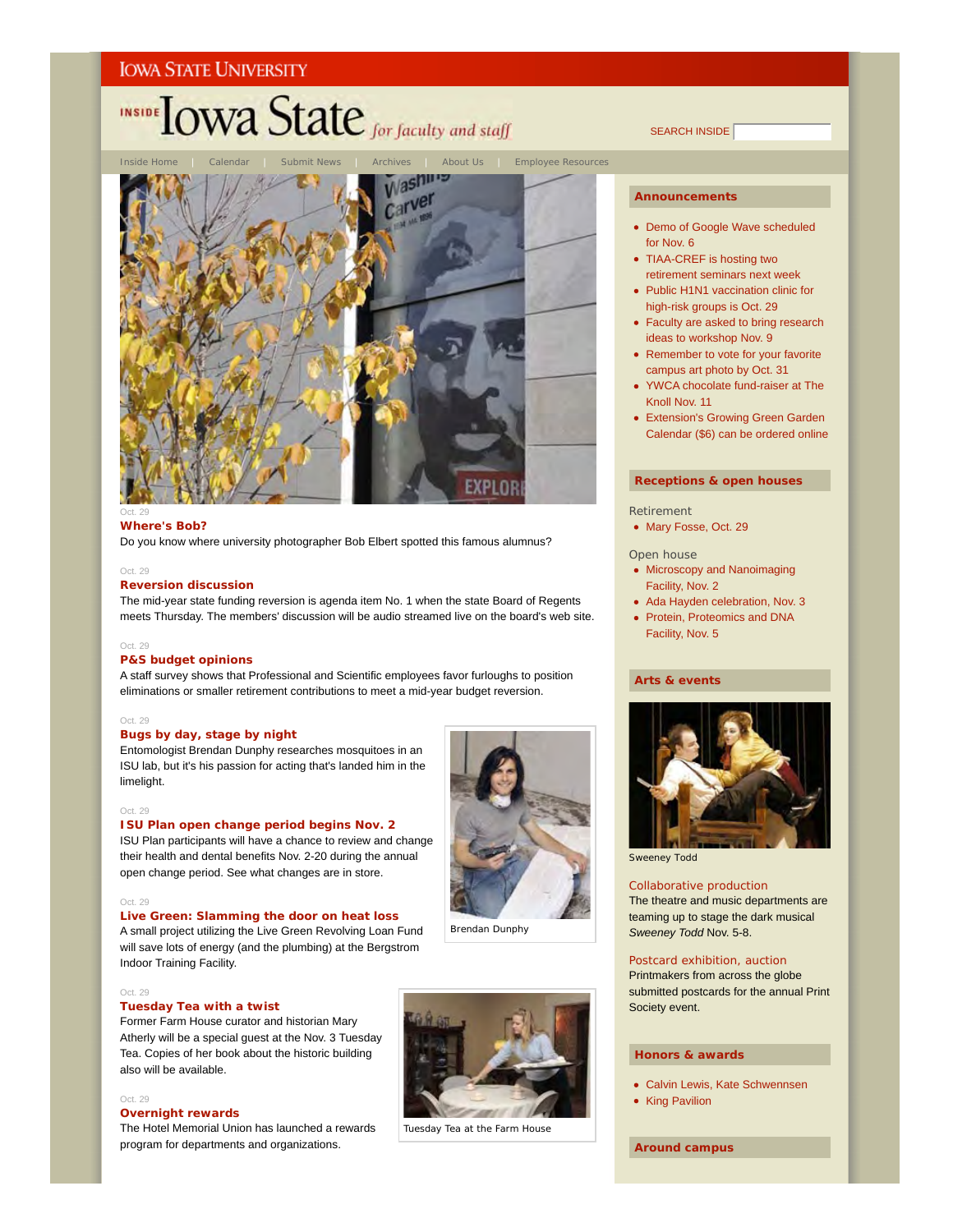# **INSIDE OWA State** for faculty and staff

About Us | Employee Resources Washing **arver EXPLO** 

#### Oct. 29 **Where's Bob?**

Do you know where university photographer Bob Elbert spotted this famous alumnus?

#### Oct. 29

#### **Reversion discussion**

The mid-year state funding reversion is agenda item No. 1 when the state Board of Regents meets Thursday. The members' discussion will be audio streamed live on the board's web site.

#### Oct. 29

#### **P&S budget opinions**

A staff survey shows that Professional and Scientific employees favor furloughs to position eliminations or smaller retirement contributions to meet a mid-year budget reversion.

#### Oct. 29

#### **Bugs by day, stage by night**

Entomologist Brendan Dunphy researches mosquitoes in an ISU lab, but it's his passion for acting that's landed him in the limelight.

#### Oct. 29

## **ISU Plan open change period begins Nov. 2**

ISU Plan participants will have a chance to review and change their health and dental benefits Nov. 2-20 during the annual open change period. See what changes are in store.

#### Oct. 29

#### **Live Green: Slamming the door on heat loss**

A small project utilizing the Live Green Revolving Loan Fund will save lots of energy (and the plumbing) at the Bergstrom Indoor Training Facility.

#### Oct. 29

#### **Tuesday Tea with a twist**

Former Farm House curator and historian Mary Atherly will be a special guest at the Nov. 3 Tuesday Tea. Copies of her book about the historic building also will be available.

#### Oct. 29

#### **Overnight rewards**

The Hotel Memorial Union has launched a rewards program for departments and organizations.



Brendan Dunphy

Tuesday Tea at the Farm House

SEARCH INSIDE

#### **Announcements**

- Demo of Google Wave scheduled for Nov. 6
- TIAA-CREF is hosting two retirement seminars next week
- Public H1N1 vaccination clinic for high-risk groups is Oct. 29
- Faculty are asked to bring research ideas to workshop Nov. 9
- Remember to vote for your favorite campus art photo by Oct. 31
- YWCA chocolate fund-raiser at The Knoll Nov. 11
- Extension's Growing Green Garden Calendar (\$6) can be ordered online

#### **Receptions & open houses**

#### Retirement

• Mary Fosse, Oct. 29

#### Open house

- Microscopy and Nanoimaging Facility, Nov. 2
- Ada Hayden celebration, Nov. 3
- Protein, Proteomics and DNA Facility, Nov. 5

#### **Arts & events**



*Sweeney Todd*

#### Collaborative production

The theatre and music departments are teaming up to stage the dark musical *Sweeney Todd* Nov. 5-8.

#### Postcard exhibition, auction

Printmakers from across the globe submitted postcards for the annual Print Society event.

#### **Honors & awards**

- Calvin Lewis, Kate Schwennsen
- King Pavilion

#### **Around campus**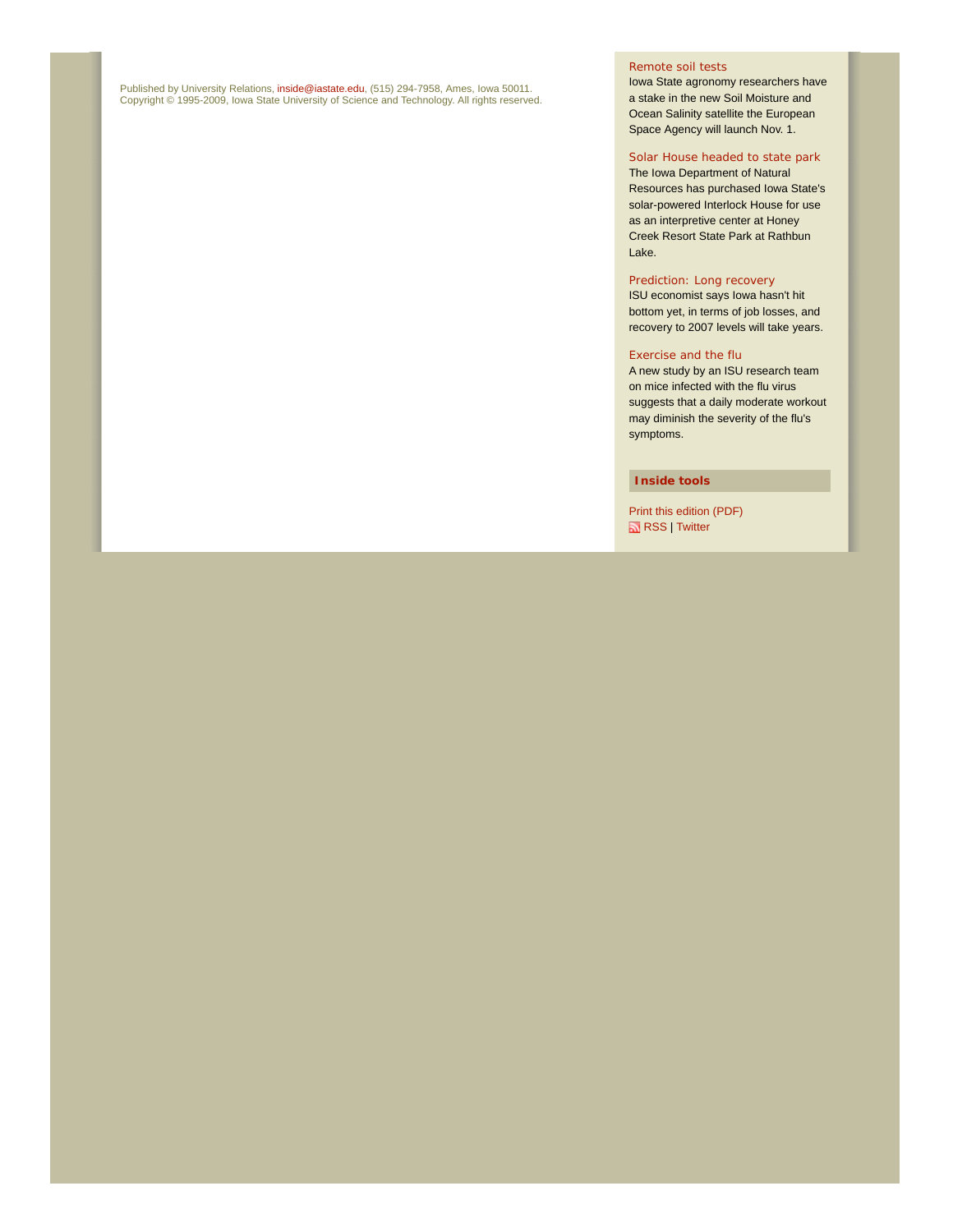Published by University Relations, i**nside@iastate.edu**, (515) 294-7958, Ames, Iowa 50011.<br>Copyright © 1995-2009, Iowa State University of Science and Technology. All rights reserved.

### Remote soil tests

Iowa State agronomy researchers have a stake in the new Soil Moisture and Ocean Salinity satellite the European Space Agency will launch Nov. 1.

#### Solar House headed to state park The Iowa Department of Natural

Resources has purchased Iowa State's solar-powered Interlock House for use as an interpretive center at Honey Creek Resort State Park at Rathbun Lake.

### Prediction: Long recovery

ISU economist says Iowa hasn't hit bottom yet, in terms of job losses, and recovery to 2007 levels will take years.

#### Exercise and the flu

A new study by an ISU research team on mice infected with the flu virus suggests that a daily moderate workout may diminish the severity of the flu's symptoms.

#### **Inside tools**

Print this edition (PDF) RSS | Twitter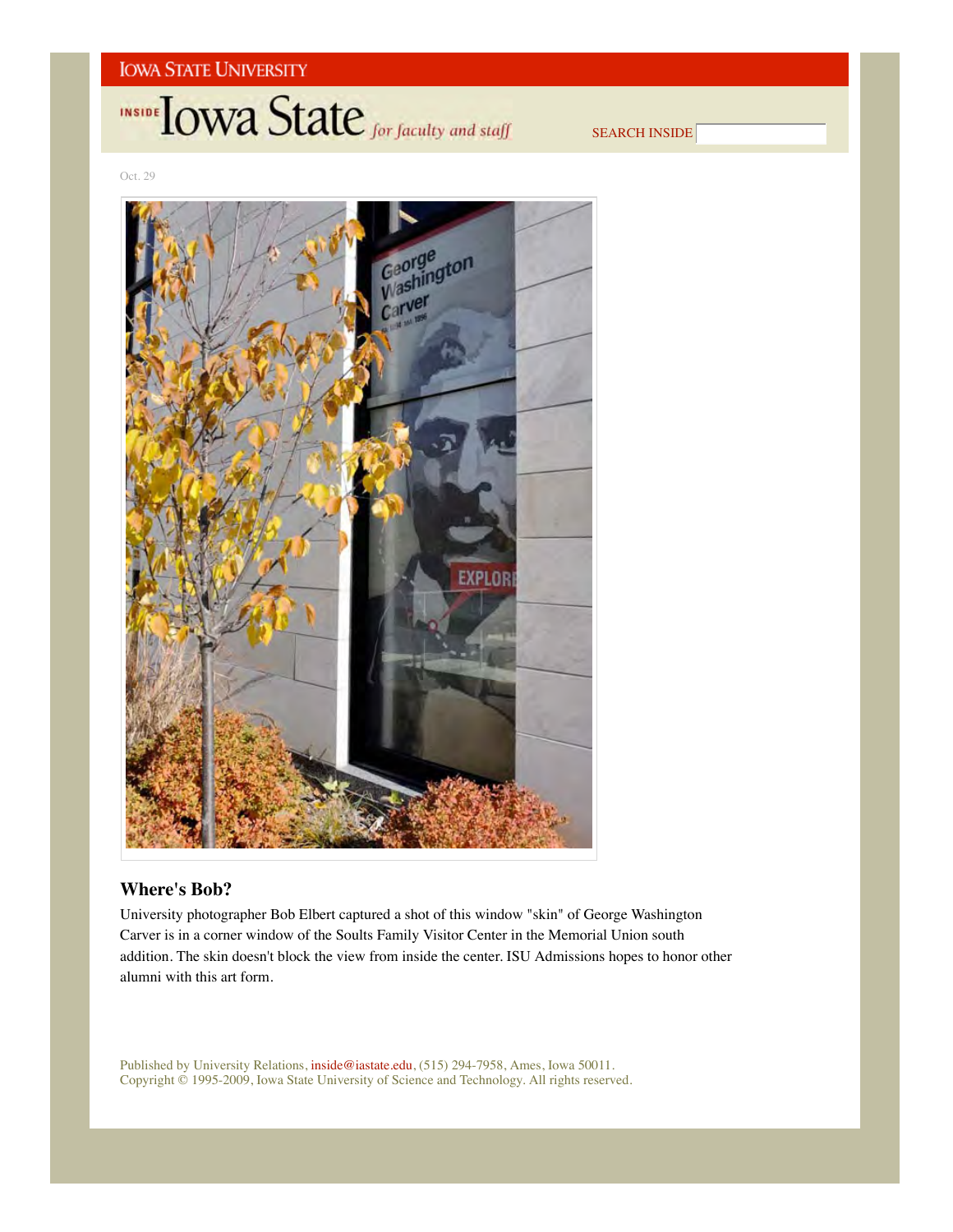# **INSIDE OWA State** for faculty and staff

SEARCH INSIDE

Oct. 29



## **Where's Bob?**

University photographer Bob Elbert captured a shot of this window "skin" of George Washington Carver is in a corner window of the Soults Family Visitor Center in the Memorial Union south addition. The skin doesn't block the view from inside the center. ISU Admissions hopes to honor other alumni with this art form.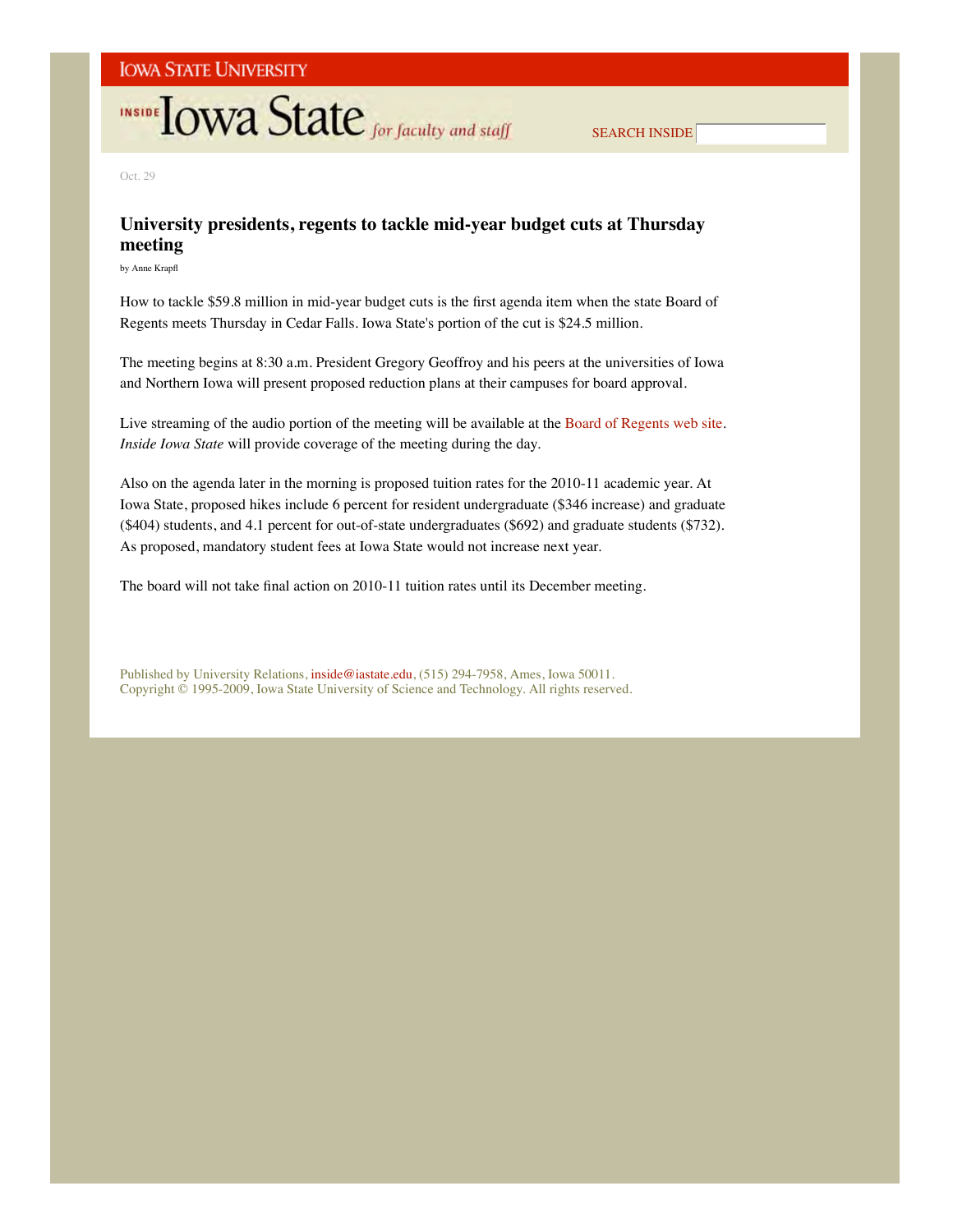# **INSIDE LOWA State** for faculty and staff

SEARCH INSIDE

Oct. 29

## **University presidents, regents to tackle mid-year budget cuts at Thursday meeting**

by Anne Krapfl

How to tackle \$59.8 million in mid-year budget cuts is the first agenda item when the state Board of Regents meets Thursday in Cedar Falls. Iowa State's portion of the cut is \$24.5 million.

The meeting begins at 8:30 a.m. President Gregory Geoffroy and his peers at the universities of Iowa and Northern Iowa will present proposed reduction plans at their campuses for board approval.

Live streaming of the audio portion of the meeting will be available at the Board of Regents web site. *Inside Iowa State* will provide coverage of the meeting during the day.

Also on the agenda later in the morning is proposed tuition rates for the 2010-11 academic year. At Iowa State, proposed hikes include 6 percent for resident undergraduate (\$346 increase) and graduate (\$404) students, and 4.1 percent for out-of-state undergraduates (\$692) and graduate students (\$732). As proposed, mandatory student fees at Iowa State would not increase next year.

The board will not take final action on 2010-11 tuition rates until its December meeting.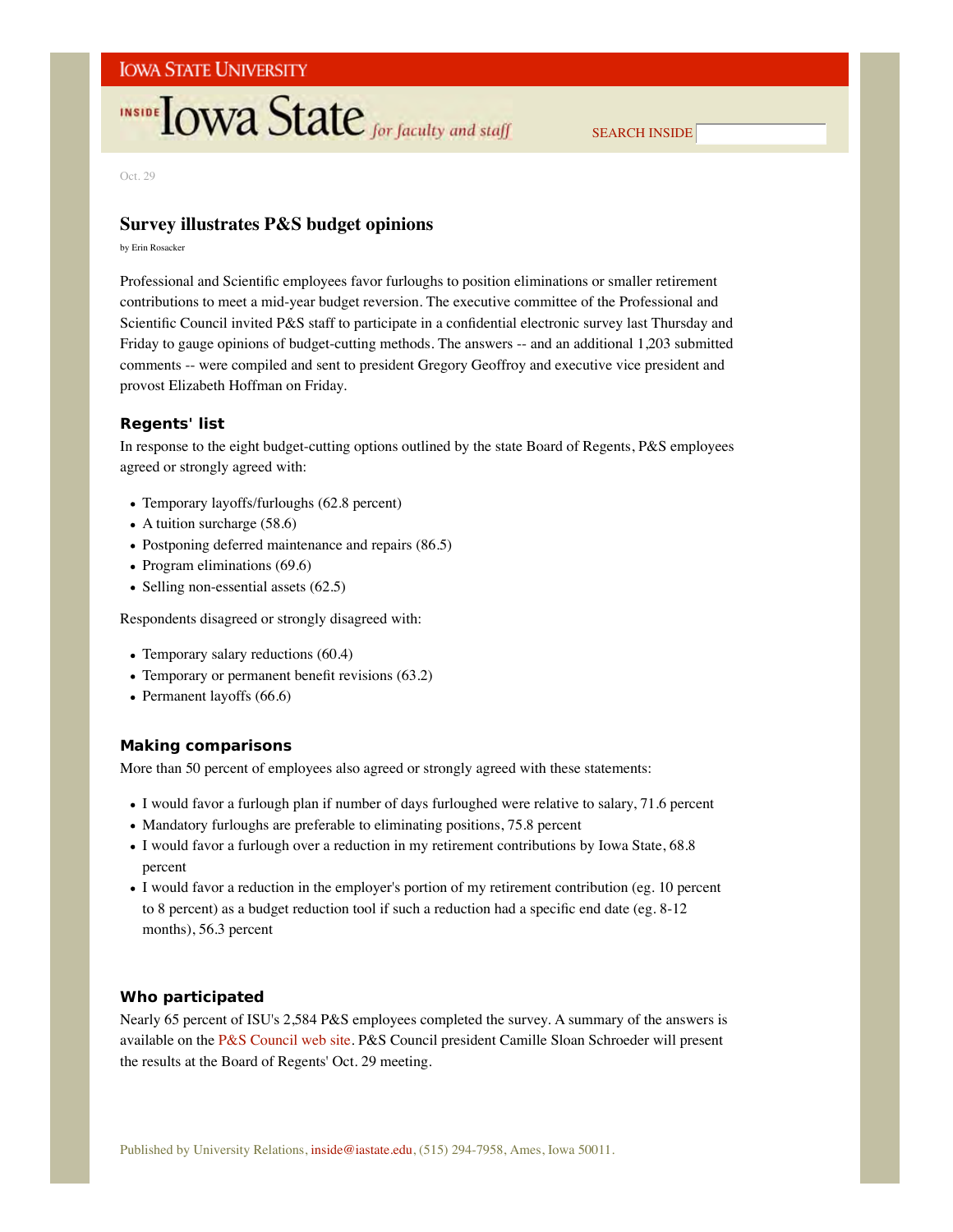# **INSIDE LOWA State** for faculty and staff

SEARCH INSIDE

Oct. 29

## **Survey illustrates P&S budget opinions**

by Erin Rosacker

Professional and Scientific employees favor furloughs to position eliminations or smaller retirement contributions to meet a mid-year budget reversion. The executive committee of the Professional and Scientific Council invited P&S staff to participate in a confidential electronic survey last Thursday and Friday to gauge opinions of budget-cutting methods. The answers -- and an additional 1,203 submitted comments -- were compiled and sent to president Gregory Geoffroy and executive vice president and provost Elizabeth Hoffman on Friday.

## **Regents' list**

In response to the eight budget-cutting options outlined by the state Board of Regents, P&S employees agreed or strongly agreed with:

- Temporary layoffs/furloughs (62.8 percent)
- $\bullet$  A tuition surcharge (58.6)
- Postponing deferred maintenance and repairs (86.5)
- Program eliminations (69.6)
- Selling non-essential assets  $(62.5)$

Respondents disagreed or strongly disagreed with:

- Temporary salary reductions (60.4)
- Temporary or permanent benefit revisions (63.2)
- Permanent layoffs (66.6)

### **Making comparisons**

More than 50 percent of employees also agreed or strongly agreed with these statements:

- I would favor a furlough plan if number of days furloughed were relative to salary, 71.6 percent
- Mandatory furloughs are preferable to eliminating positions, 75.8 percent
- I would favor a furlough over a reduction in my retirement contributions by Iowa State, 68.8 percent
- I would favor a reduction in the employer's portion of my retirement contribution (eg. 10 percent to 8 percent) as a budget reduction tool if such a reduction had a specific end date (eg. 8-12 months), 56.3 percent

## **Who participated**

Nearly 65 percent of ISU's 2,584 P&S employees completed the survey. A summary of the answers is available on the P&S Council web site. P&S Council president Camille Sloan Schroeder will present the results at the Board of Regents' Oct. 29 meeting.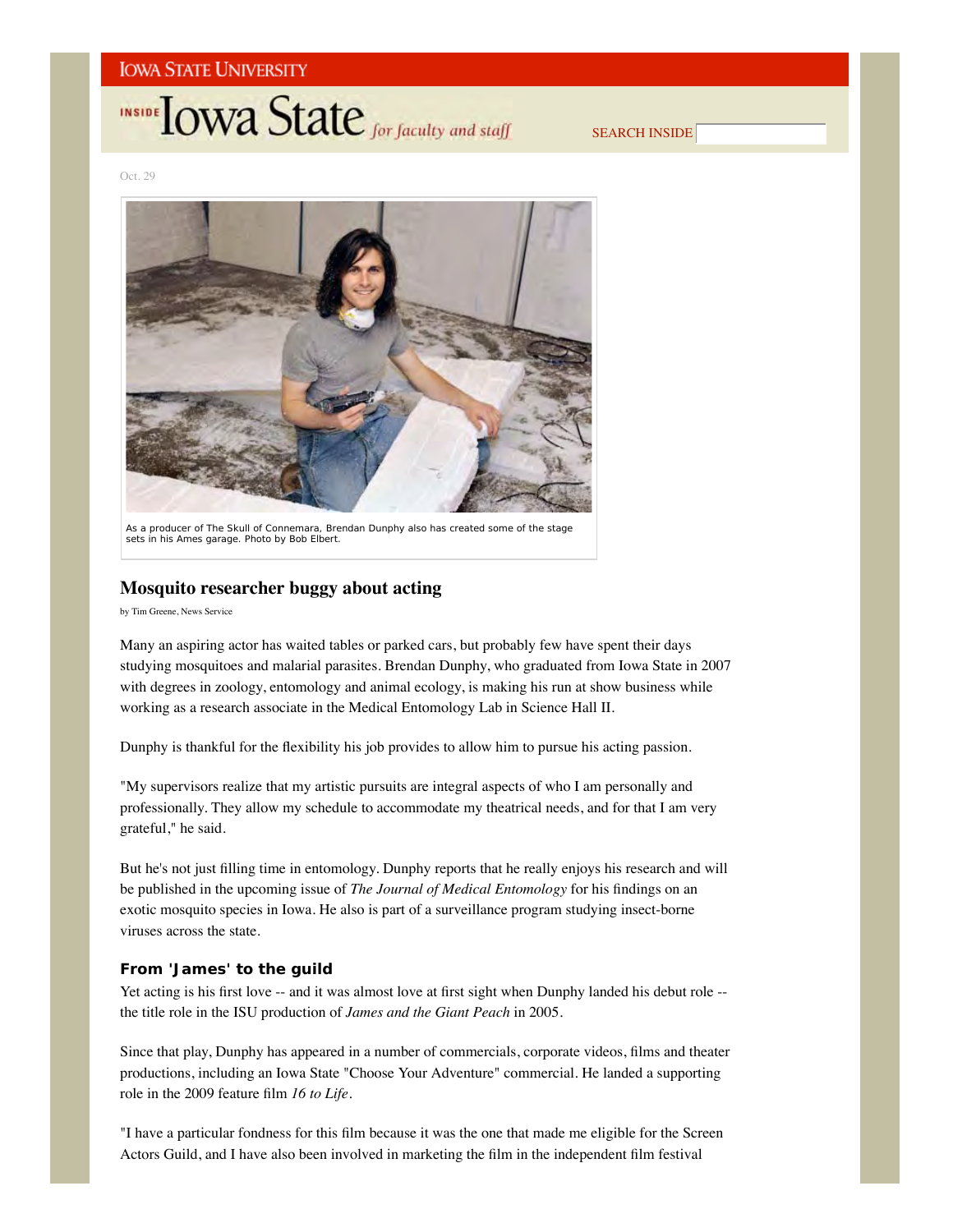# **INSIDE OWA State** for faculty and staff

SEARCH INSIDE

Oct. 29



As a producer of *The Skull of Connemara*, Brendan Dunphy also has created some of the stage sets in his Ames garage. *Photo by Bob Elbert*.

## **Mosquito researcher buggy about acting**

by Tim Greene, News Service

Many an aspiring actor has waited tables or parked cars, but probably few have spent their days studying mosquitoes and malarial parasites. Brendan Dunphy, who graduated from Iowa State in 2007 with degrees in zoology, entomology and animal ecology, is making his run at show business while working as a research associate in the Medical Entomology Lab in Science Hall II.

Dunphy is thankful for the flexibility his job provides to allow him to pursue his acting passion.

"My supervisors realize that my artistic pursuits are integral aspects of who I am personally and professionally. They allow my schedule to accommodate my theatrical needs, and for that I am very grateful," he said.

But he's not just filling time in entomology. Dunphy reports that he really enjoys his research and will be published in the upcoming issue of *The Journal of Medical Entomology* for his findings on an exotic mosquito species in Iowa. He also is part of a surveillance program studying insect-borne viruses across the state.

### **From 'James' to the guild**

Yet acting is his first love -- and it was almost love at first sight when Dunphy landed his debut role -the title role in the ISU production of *James and the Giant Peach* in 2005.

Since that play, Dunphy has appeared in a number of commercials, corporate videos, films and theater productions, including an Iowa State "Choose Your Adventure" commercial. He landed a supporting role in the 2009 feature film *16 to Life*.

"I have a particular fondness for this film because it was the one that made me eligible for the Screen Actors Guild, and I have also been involved in marketing the film in the independent film festival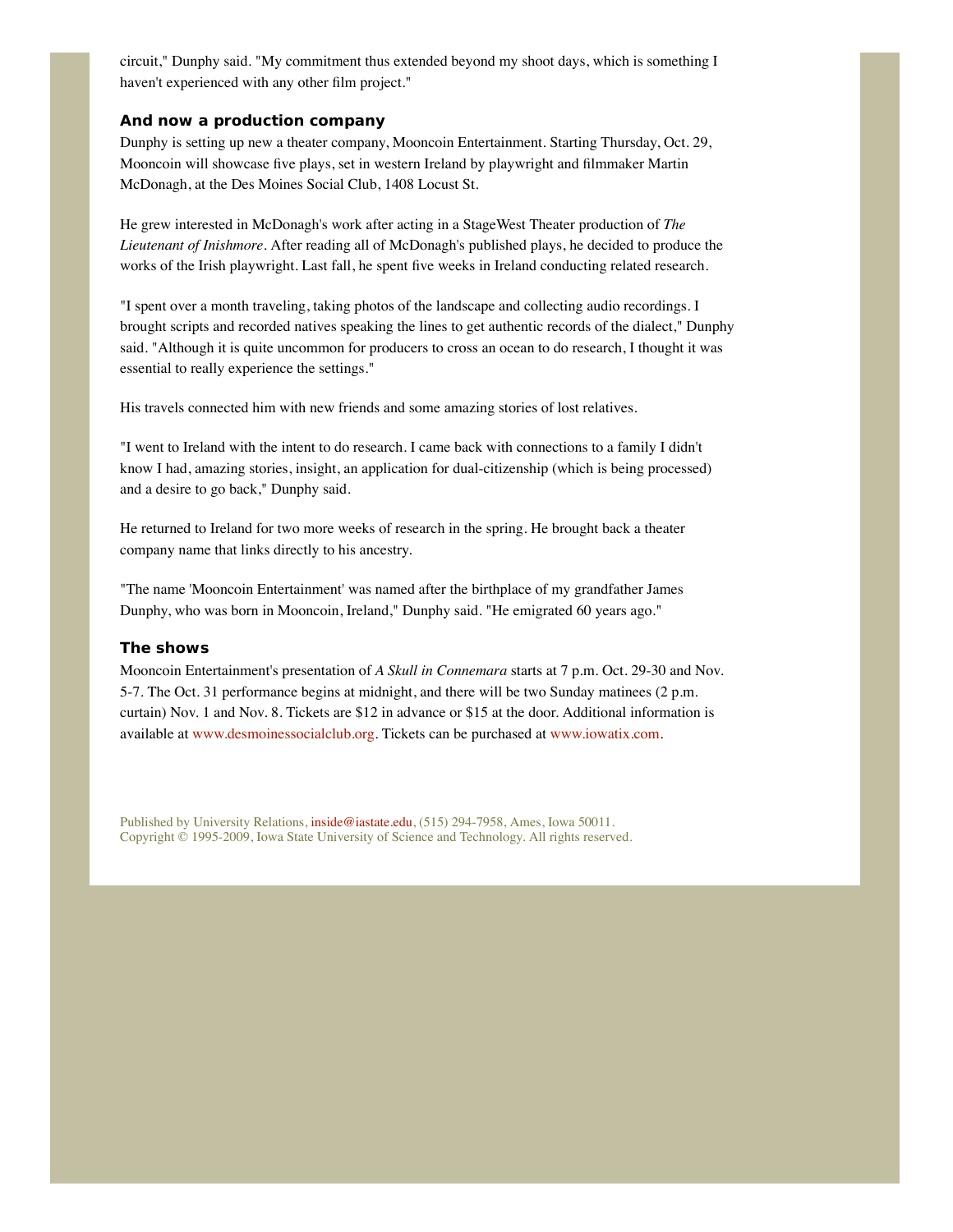circuit," Dunphy said. "My commitment thus extended beyond my shoot days, which is something I haven't experienced with any other film project."

## **And now a production company**

Dunphy is setting up new a theater company, Mooncoin Entertainment. Starting Thursday, Oct. 29, Mooncoin will showcase five plays, set in western Ireland by playwright and filmmaker Martin McDonagh, at the Des Moines Social Club, 1408 Locust St.

He grew interested in McDonagh's work after acting in a StageWest Theater production of *The Lieutenant of Inishmore*. After reading all of McDonagh's published plays, he decided to produce the works of the Irish playwright. Last fall, he spent five weeks in Ireland conducting related research.

"I spent over a month traveling, taking photos of the landscape and collecting audio recordings. I brought scripts and recorded natives speaking the lines to get authentic records of the dialect," Dunphy said. "Although it is quite uncommon for producers to cross an ocean to do research, I thought it was essential to really experience the settings."

His travels connected him with new friends and some amazing stories of lost relatives.

"I went to Ireland with the intent to do research. I came back with connections to a family I didn't know I had, amazing stories, insight, an application for dual-citizenship (which is being processed) and a desire to go back," Dunphy said.

He returned to Ireland for two more weeks of research in the spring. He brought back a theater company name that links directly to his ancestry.

"The name 'Mooncoin Entertainment' was named after the birthplace of my grandfather James Dunphy, who was born in Mooncoin, Ireland," Dunphy said. "He emigrated 60 years ago."

### **The shows**

Mooncoin Entertainment's presentation of *A Skull in Connemara* starts at 7 p.m. Oct. 29-30 and Nov. 5-7. The Oct. 31 performance begins at midnight, and there will be two Sunday matinees (2 p.m. curtain) Nov. 1 and Nov. 8. Tickets are \$12 in advance or \$15 at the door. Additional information is available at www.desmoinessocialclub.org. Tickets can be purchased at www.iowatix.com.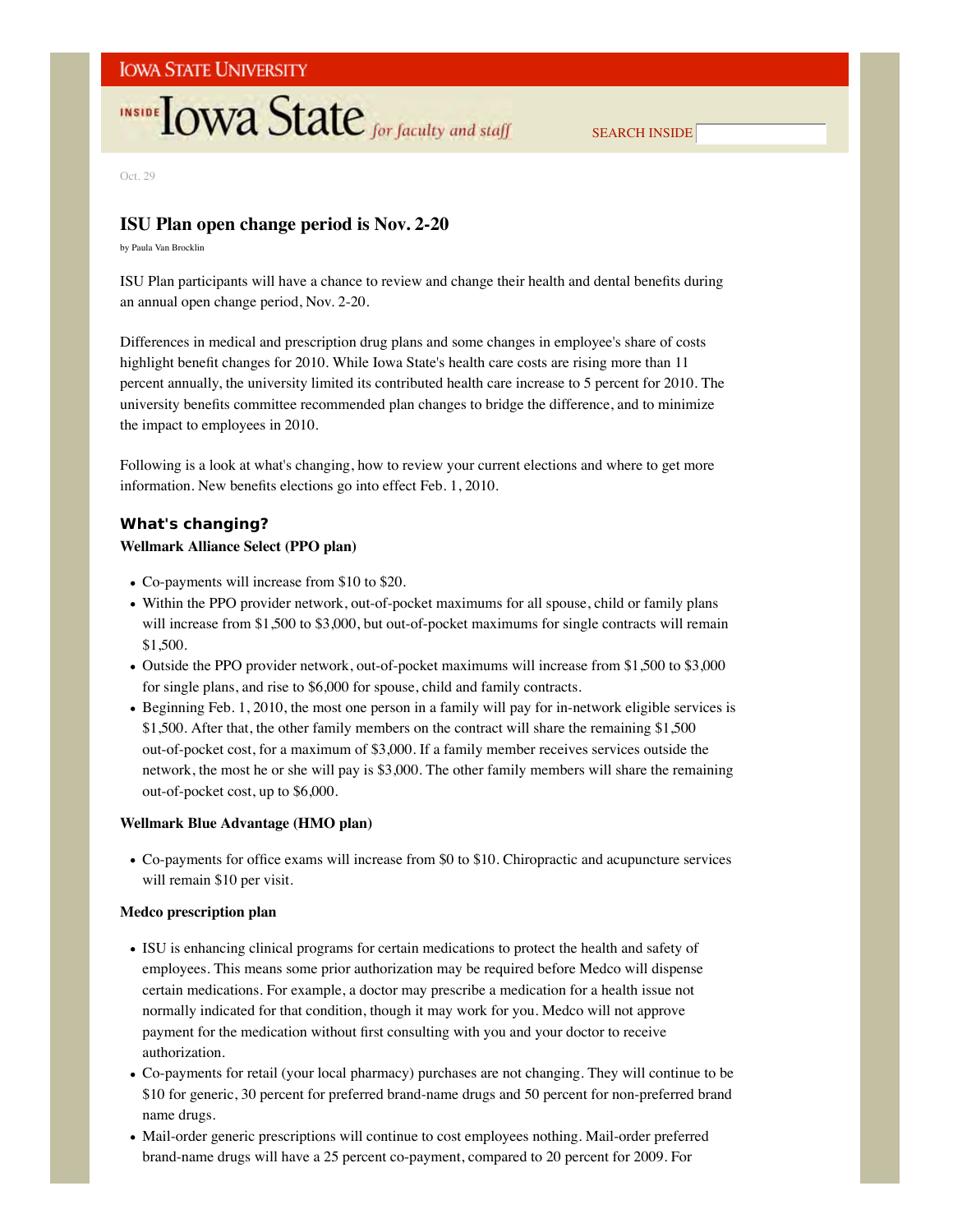# **INSIDE TOWA State** for faculty and staff

SEARCH INSIDE

Oct. 29

## **ISU Plan open change period is Nov. 2-20**

by Paula Van Brocklin

ISU Plan participants will have a chance to review and change their health and dental benefits during an annual open change period, Nov. 2-20.

Differences in medical and prescription drug plans and some changes in employee's share of costs highlight benefit changes for 2010. While Iowa State's health care costs are rising more than 11 percent annually, the university limited its contributed health care increase to 5 percent for 2010. The university benefits committee recommended plan changes to bridge the difference, and to minimize the impact to employees in 2010.

Following is a look at what's changing, how to review your current elections and where to get more information. New benefits elections go into effect Feb. 1, 2010.

## **What's changing? Wellmark Alliance Select (PPO plan)**

- Co-payments will increase from \$10 to \$20.
- Within the PPO provider network, out-of-pocket maximums for all spouse, child or family plans will increase from \$1,500 to \$3,000, but out-of-pocket maximums for single contracts will remain \$1,500.
- Outside the PPO provider network, out-of-pocket maximums will increase from \$1,500 to \$3,000 for single plans, and rise to \$6,000 for spouse, child and family contracts.
- Beginning Feb. 1, 2010, the most one person in a family will pay for in-network eligible services is \$1,500. After that, the other family members on the contract will share the remaining \$1,500 out-of-pocket cost, for a maximum of \$3,000. If a family member receives services outside the network, the most he or she will pay is \$3,000. The other family members will share the remaining out-of-pocket cost, up to \$6,000.

### **Wellmark Blue Advantage (HMO plan)**

Co-payments for office exams will increase from \$0 to \$10. Chiropractic and acupuncture services will remain \$10 per visit.

### **Medco prescription plan**

- ISU is enhancing clinical programs for certain medications to protect the health and safety of employees. This means some prior authorization may be required before Medco will dispense certain medications. For example, a doctor may prescribe a medication for a health issue not normally indicated for that condition, though it may work for you. Medco will not approve payment for the medication without first consulting with you and your doctor to receive authorization.
- Co-payments for retail (your local pharmacy) purchases are not changing. They will continue to be \$10 for generic, 30 percent for preferred brand-name drugs and 50 percent for non-preferred brand name drugs.
- Mail-order generic prescriptions will continue to cost employees nothing. Mail-order preferred brand-name drugs will have a 25 percent co-payment, compared to 20 percent for 2009. For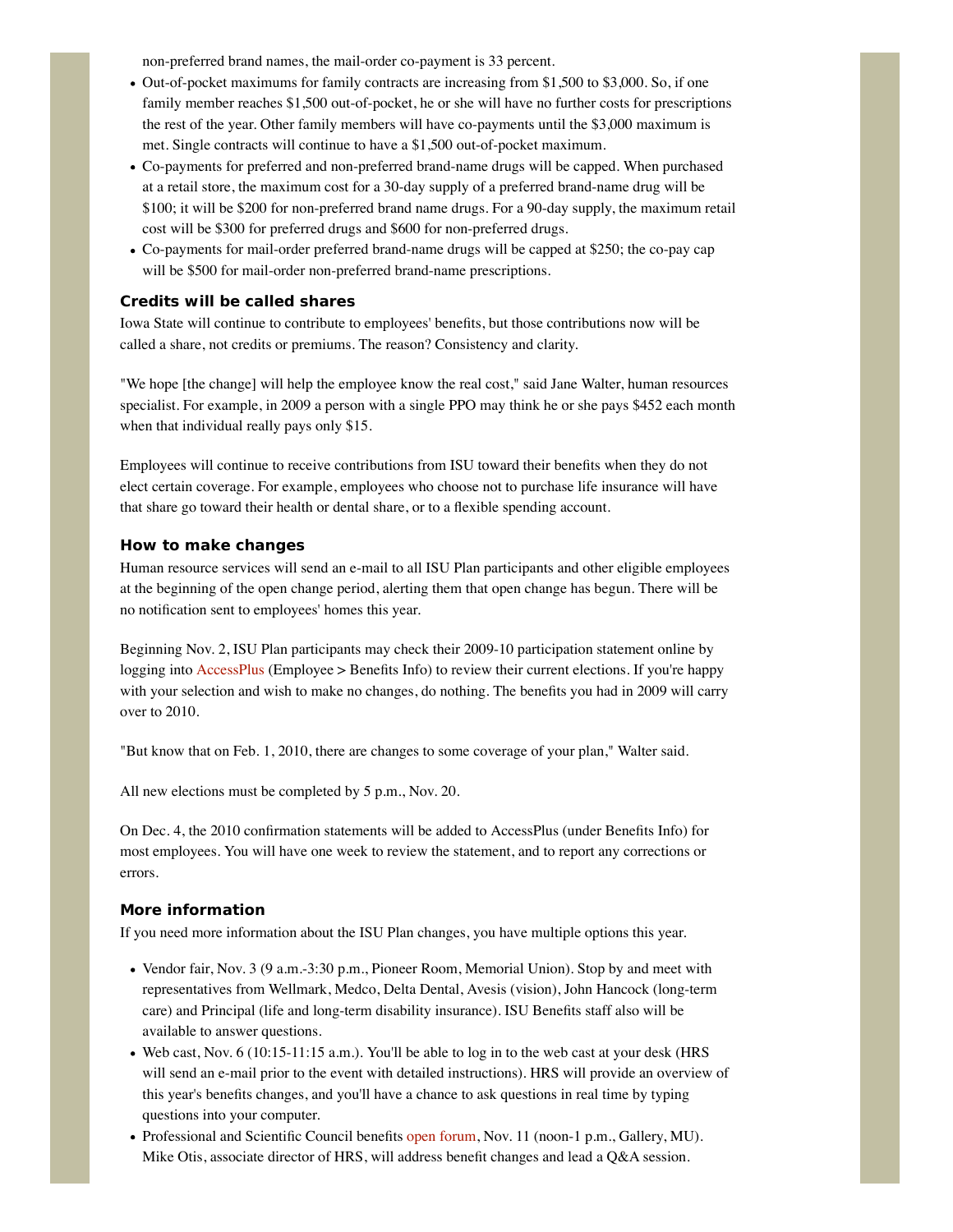non-preferred brand names, the mail-order co-payment is 33 percent.

- $\bullet$  Out-of-pocket maximums for family contracts are increasing from \$1,500 to \$3,000. So, if one family member reaches \$1,500 out-of-pocket, he or she will have no further costs for prescriptions the rest of the year. Other family members will have co-payments until the \$3,000 maximum is met. Single contracts will continue to have a \$1,500 out-of-pocket maximum.
- Co-payments for preferred and non-preferred brand-name drugs will be capped. When purchased at a retail store, the maximum cost for a 30-day supply of a preferred brand-name drug will be \$100; it will be \$200 for non-preferred brand name drugs. For a 90-day supply, the maximum retail cost will be \$300 for preferred drugs and \$600 for non-preferred drugs.
- Co-payments for mail-order preferred brand-name drugs will be capped at \$250; the co-pay cap will be \$500 for mail-order non-preferred brand-name prescriptions.

## **Credits will be called shares**

Iowa State will continue to contribute to employees' benefits, but those contributions now will be called a share, not credits or premiums. The reason? Consistency and clarity.

"We hope [the change] will help the employee know the real cost," said Jane Walter, human resources specialist. For example, in 2009 a person with a single PPO may think he or she pays \$452 each month when that individual really pays only \$15.

Employees will continue to receive contributions from ISU toward their benefits when they do not elect certain coverage. For example, employees who choose not to purchase life insurance will have that share go toward their health or dental share, or to a flexible spending account.

### **How to make changes**

Human resource services will send an e-mail to all ISU Plan participants and other eligible employees at the beginning of the open change period, alerting them that open change has begun. There will be no notification sent to employees' homes this year.

Beginning Nov. 2, ISU Plan participants may check their 2009-10 participation statement online by logging into AccessPlus (Employee > Benefits Info) to review their current elections. If you're happy with your selection and wish to make no changes, do nothing. The benefits you had in 2009 will carry over to 2010.

"But know that on Feb. 1, 2010, there are changes to some coverage of your plan," Walter said.

All new elections must be completed by 5 p.m., Nov. 20.

On Dec. 4, the 2010 confirmation statements will be added to AccessPlus (under Benefits Info) for most employees. You will have one week to review the statement, and to report any corrections or errors.

### **More information**

If you need more information about the ISU Plan changes, you have multiple options this year.

- Vendor fair, Nov. 3 (9 a.m.-3:30 p.m., Pioneer Room, Memorial Union). Stop by and meet with representatives from Wellmark, Medco, Delta Dental, Avesis (vision), John Hancock (long-term care) and Principal (life and long-term disability insurance). ISU Benefits staff also will be available to answer questions.
- Web cast, Nov. 6 (10:15-11:15 a.m.). You'll be able to log in to the web cast at your desk (HRS will send an e-mail prior to the event with detailed instructions). HRS will provide an overview of this year's benefits changes, and you'll have a chance to ask questions in real time by typing questions into your computer.
- Professional and Scientific Council benefits open forum, Nov. 11 (noon-1 p.m., Gallery, MU). Mike Otis, associate director of HRS, will address benefit changes and lead a Q&A session.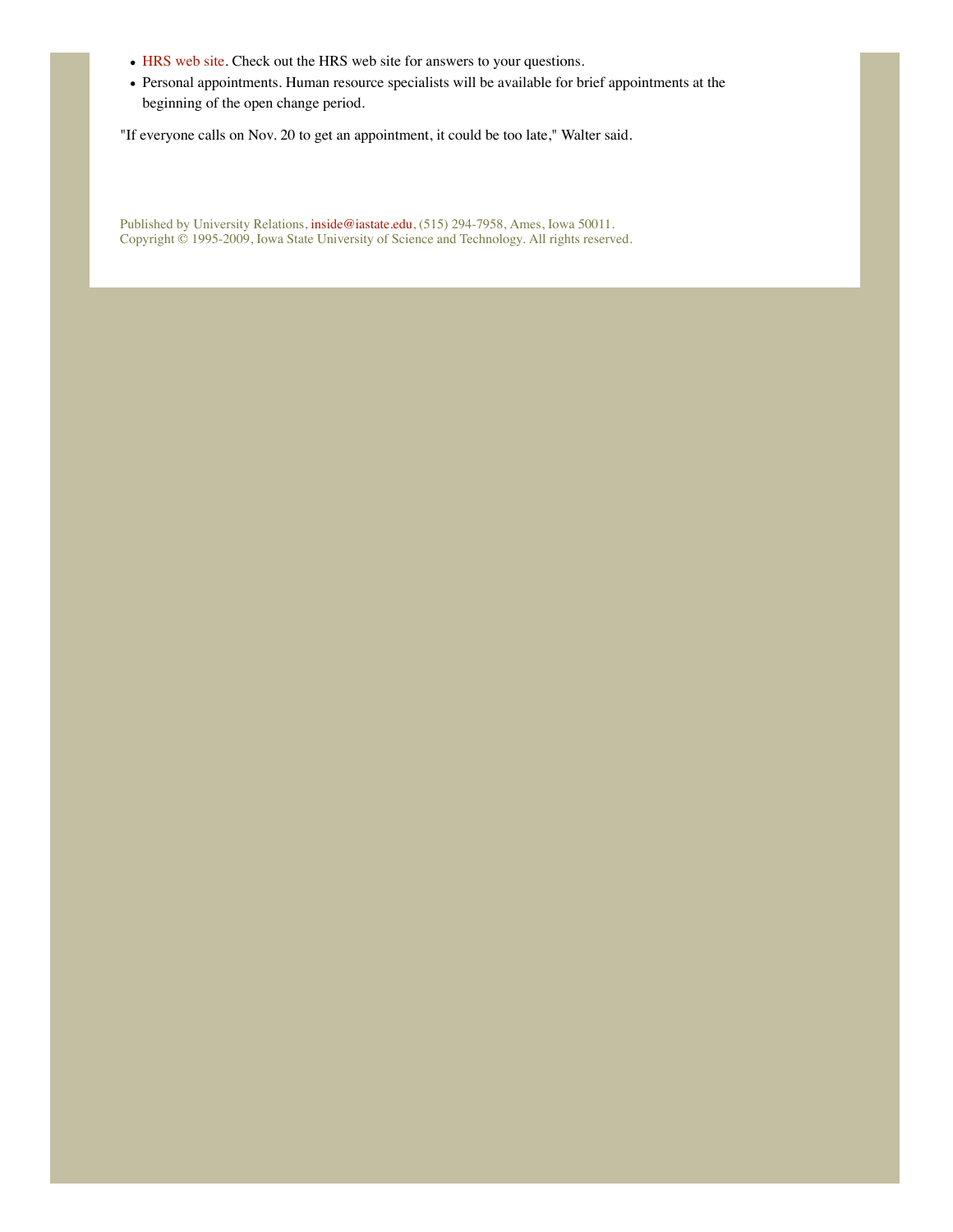- HRS web site. Check out the HRS web site for answers to your questions.
- Personal appointments. Human resource specialists will be available for brief appointments at the beginning of the open change period.

"If everyone calls on Nov. 20 to get an appointment, it could be too late," Walter said.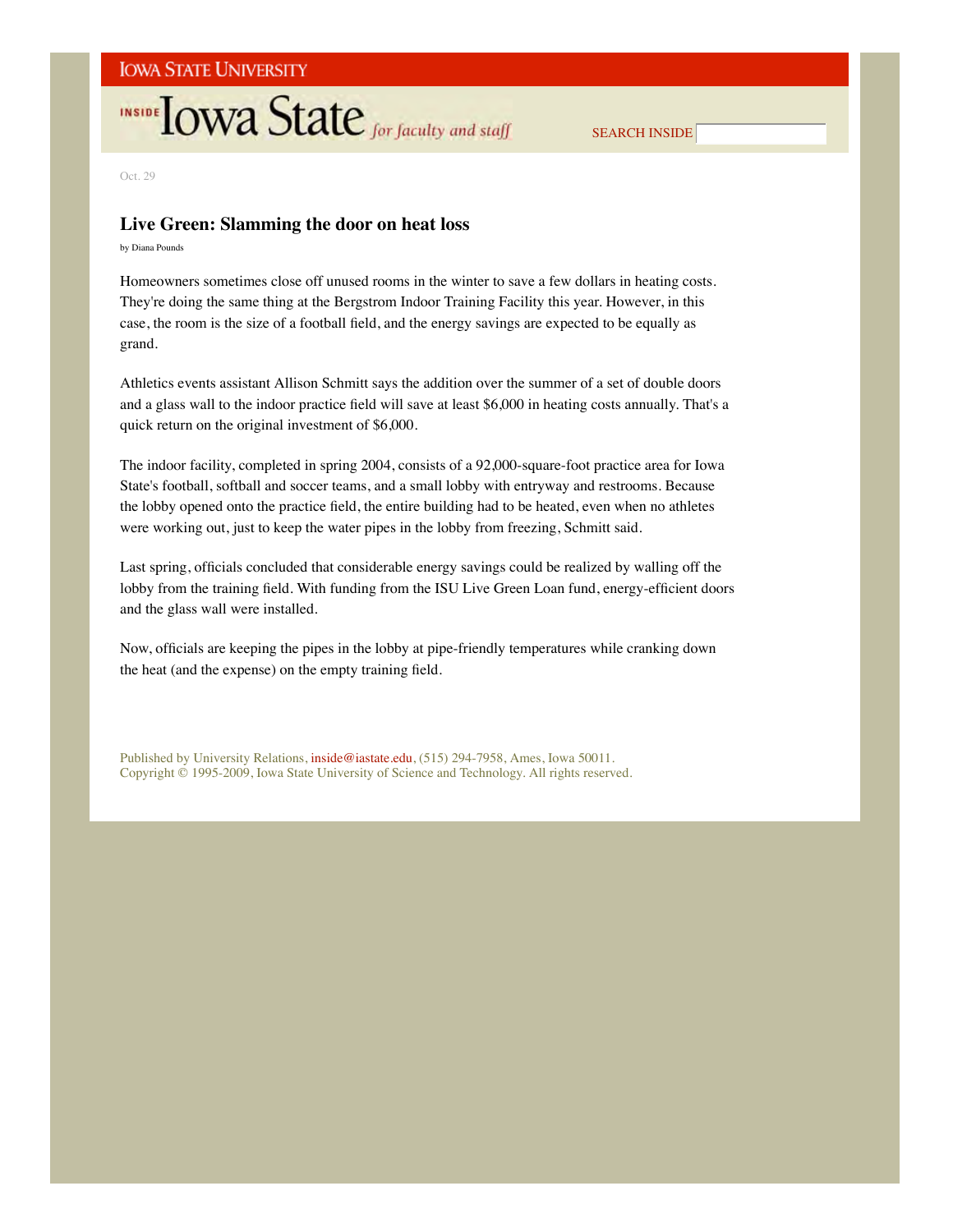# **INSIDE LOWA State** for faculty and staff

SEARCH INSIDE

Oct. 29

## **Live Green: Slamming the door on heat loss**

by Diana Pounds

Homeowners sometimes close off unused rooms in the winter to save a few dollars in heating costs. They're doing the same thing at the Bergstrom Indoor Training Facility this year. However, in this case, the room is the size of a football field, and the energy savings are expected to be equally as grand.

Athletics events assistant Allison Schmitt says the addition over the summer of a set of double doors and a glass wall to the indoor practice field will save at least \$6,000 in heating costs annually. That's a quick return on the original investment of \$6,000.

The indoor facility, completed in spring 2004, consists of a 92,000-square-foot practice area for Iowa State's football, softball and soccer teams, and a small lobby with entryway and restrooms. Because the lobby opened onto the practice field, the entire building had to be heated, even when no athletes were working out, just to keep the water pipes in the lobby from freezing, Schmitt said.

Last spring, officials concluded that considerable energy savings could be realized by walling off the lobby from the training field. With funding from the ISU Live Green Loan fund, energy-efficient doors and the glass wall were installed.

Now, officials are keeping the pipes in the lobby at pipe-friendly temperatures while cranking down the heat (and the expense) on the empty training field.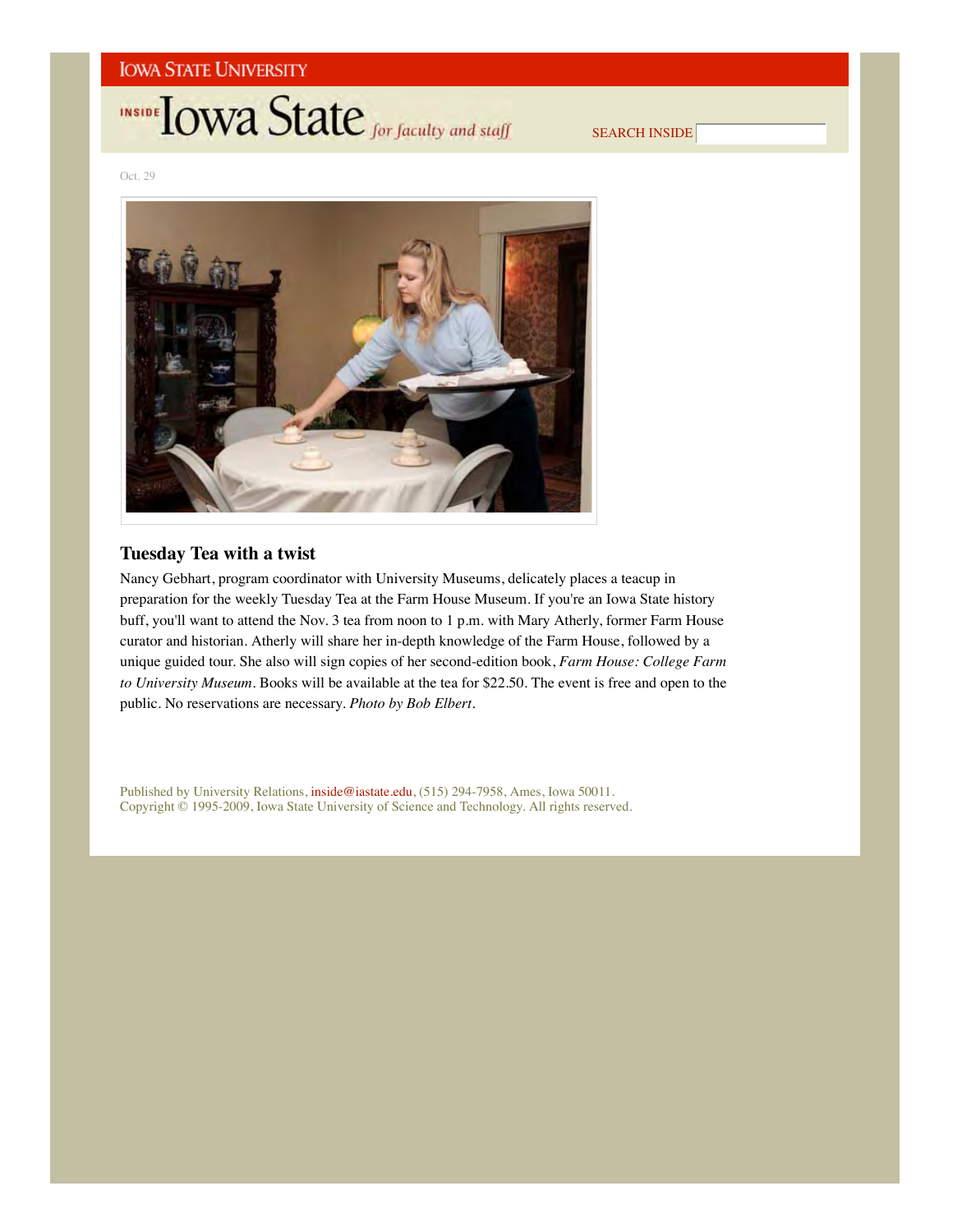# **INSIDE LOWA State** for faculty and staff

SEARCH INSIDE

Oct. 29



## **Tuesday Tea with a twist**

Nancy Gebhart, program coordinator with University Museums, delicately places a teacup in preparation for the weekly Tuesday Tea at the Farm House Museum. If you're an Iowa State history buff, you'll want to attend the Nov. 3 tea from noon to 1 p.m. with Mary Atherly, former Farm House curator and historian. Atherly will share her in-depth knowledge of the Farm House, followed by a unique guided tour. She also will sign copies of her second-edition book, *Farm House: College Farm to University Museum*. Books will be available at the tea for \$22.50. The event is free and open to the public. No reservations are necessary. *Photo by Bob Elbert*.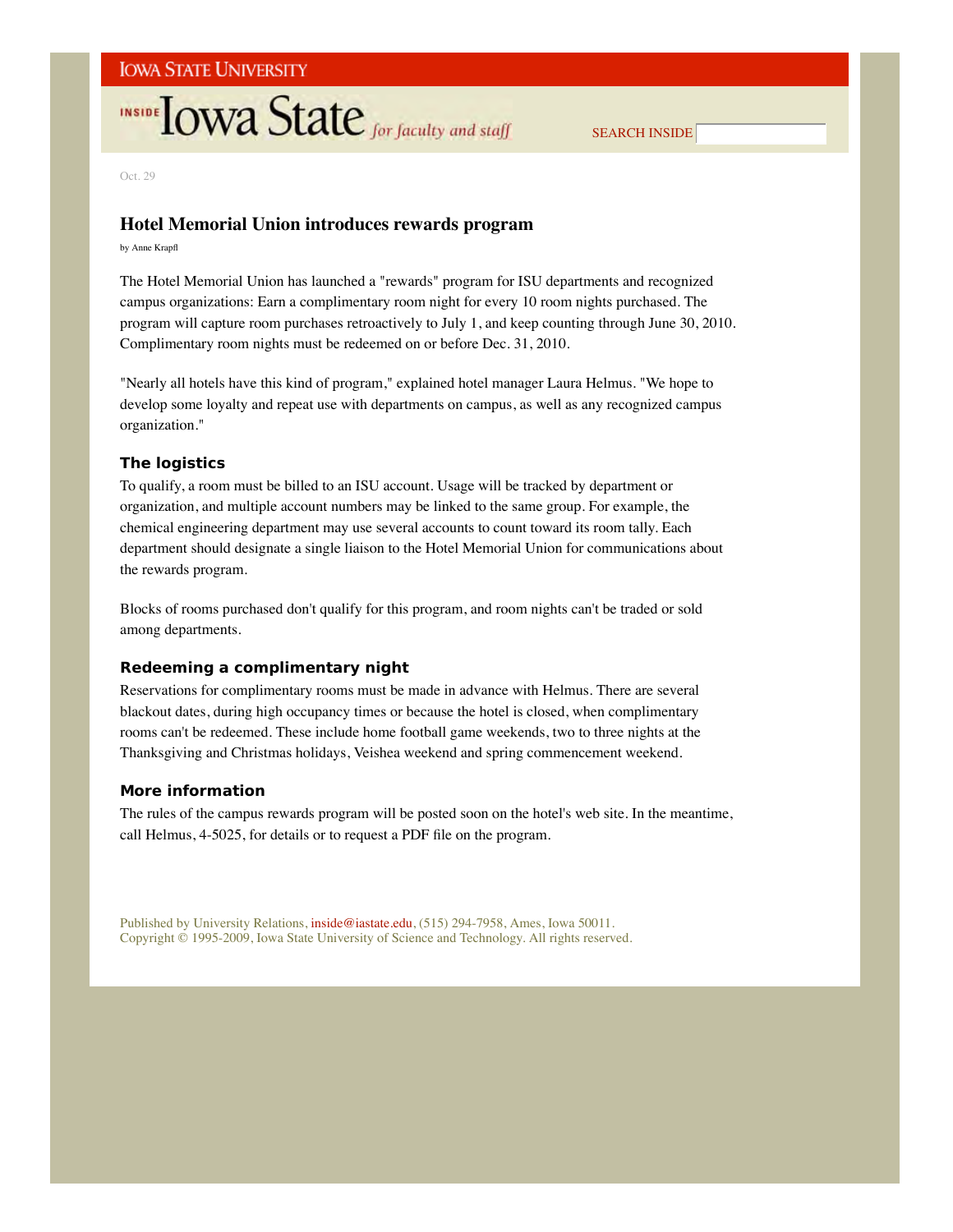# **INSIDE TOWA State** for faculty and staff

SEARCH INSIDE

Oct. 29

## **Hotel Memorial Union introduces rewards program**

by Anne Krapfl

The Hotel Memorial Union has launched a "rewards" program for ISU departments and recognized campus organizations: Earn a complimentary room night for every 10 room nights purchased. The program will capture room purchases retroactively to July 1, and keep counting through June 30, 2010. Complimentary room nights must be redeemed on or before Dec. 31, 2010.

"Nearly all hotels have this kind of program," explained hotel manager Laura Helmus. "We hope to develop some loyalty and repeat use with departments on campus, as well as any recognized campus organization."

### **The logistics**

To qualify, a room must be billed to an ISU account. Usage will be tracked by department or organization, and multiple account numbers may be linked to the same group. For example, the chemical engineering department may use several accounts to count toward its room tally. Each department should designate a single liaison to the Hotel Memorial Union for communications about the rewards program.

Blocks of rooms purchased don't qualify for this program, and room nights can't be traded or sold among departments.

### **Redeeming a complimentary night**

Reservations for complimentary rooms must be made in advance with Helmus. There are several blackout dates, during high occupancy times or because the hotel is closed, when complimentary rooms can't be redeemed. These include home football game weekends, two to three nights at the Thanksgiving and Christmas holidays, Veishea weekend and spring commencement weekend.

### **More information**

The rules of the campus rewards program will be posted soon on the hotel's web site. In the meantime, call Helmus, 4-5025, for details or to request a PDF file on the program.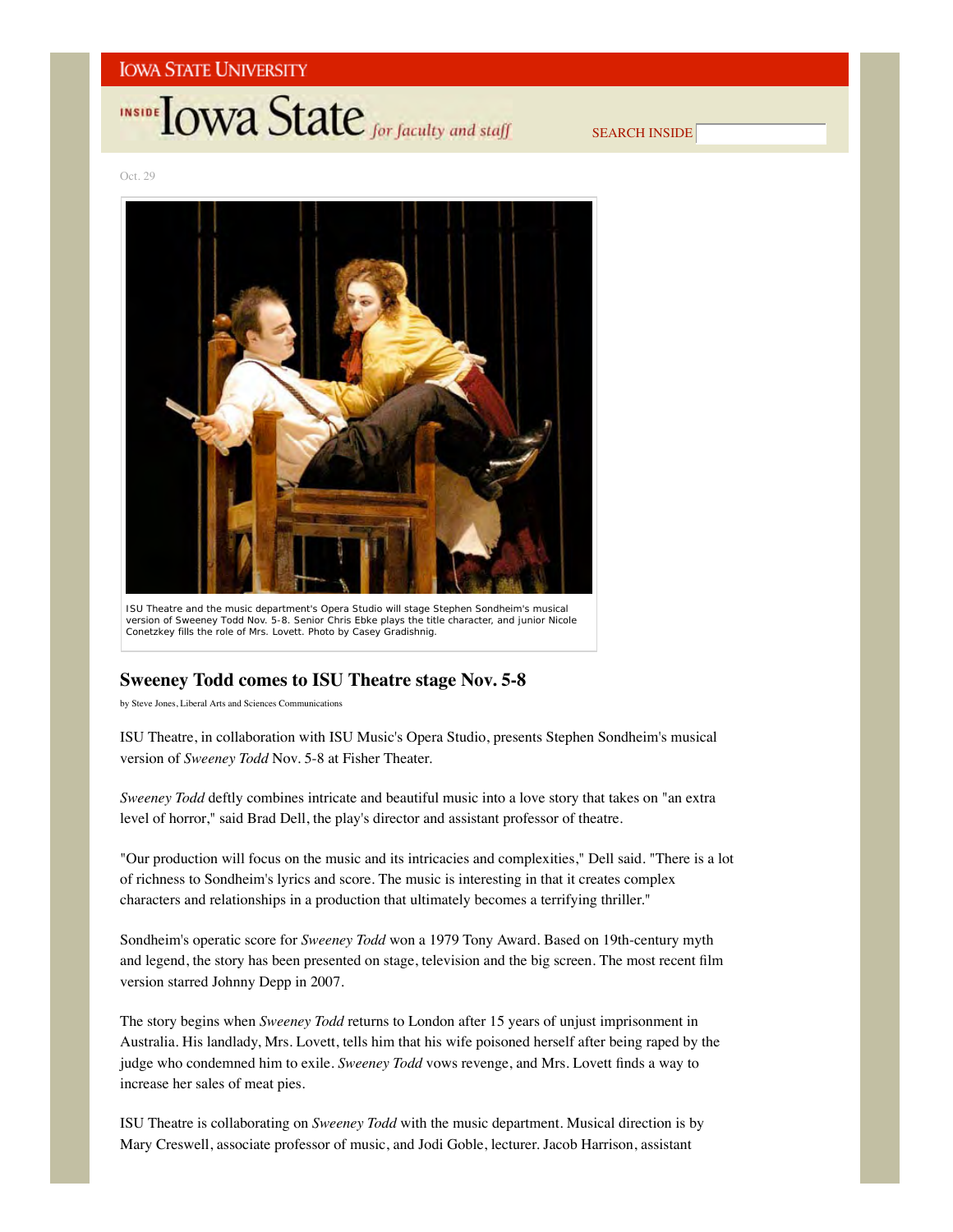# **INSIDE OWA State** for faculty and staff

SEARCH INSIDE

Oct. 29



version of *Sweeney Todd* Nov. 5-8. Senior Chris Ebke plays the title character, and junior Nicole Conetzkey fills the role of Mrs. Lovett. *Photo by Casey Gradishnig*.

## **Sweeney Todd comes to ISU Theatre stage Nov. 5-8**

by Steve Jones, Liberal Arts and Sciences Communications

ISU Theatre, in collaboration with ISU Music's Opera Studio, presents Stephen Sondheim's musical version of *Sweeney Todd* Nov. 5-8 at Fisher Theater.

*Sweeney Todd* deftly combines intricate and beautiful music into a love story that takes on "an extra level of horror," said Brad Dell, the play's director and assistant professor of theatre.

"Our production will focus on the music and its intricacies and complexities," Dell said. "There is a lot of richness to Sondheim's lyrics and score. The music is interesting in that it creates complex characters and relationships in a production that ultimately becomes a terrifying thriller."

Sondheim's operatic score for *Sweeney Todd* won a 1979 Tony Award. Based on 19th-century myth and legend, the story has been presented on stage, television and the big screen. The most recent film version starred Johnny Depp in 2007.

The story begins when *Sweeney Todd* returns to London after 15 years of unjust imprisonment in Australia. His landlady, Mrs. Lovett, tells him that his wife poisoned herself after being raped by the judge who condemned him to exile. *Sweeney Todd* vows revenge, and Mrs. Lovett finds a way to increase her sales of meat pies.

ISU Theatre is collaborating on *Sweeney Todd* with the music department. Musical direction is by Mary Creswell, associate professor of music, and Jodi Goble, lecturer. Jacob Harrison, assistant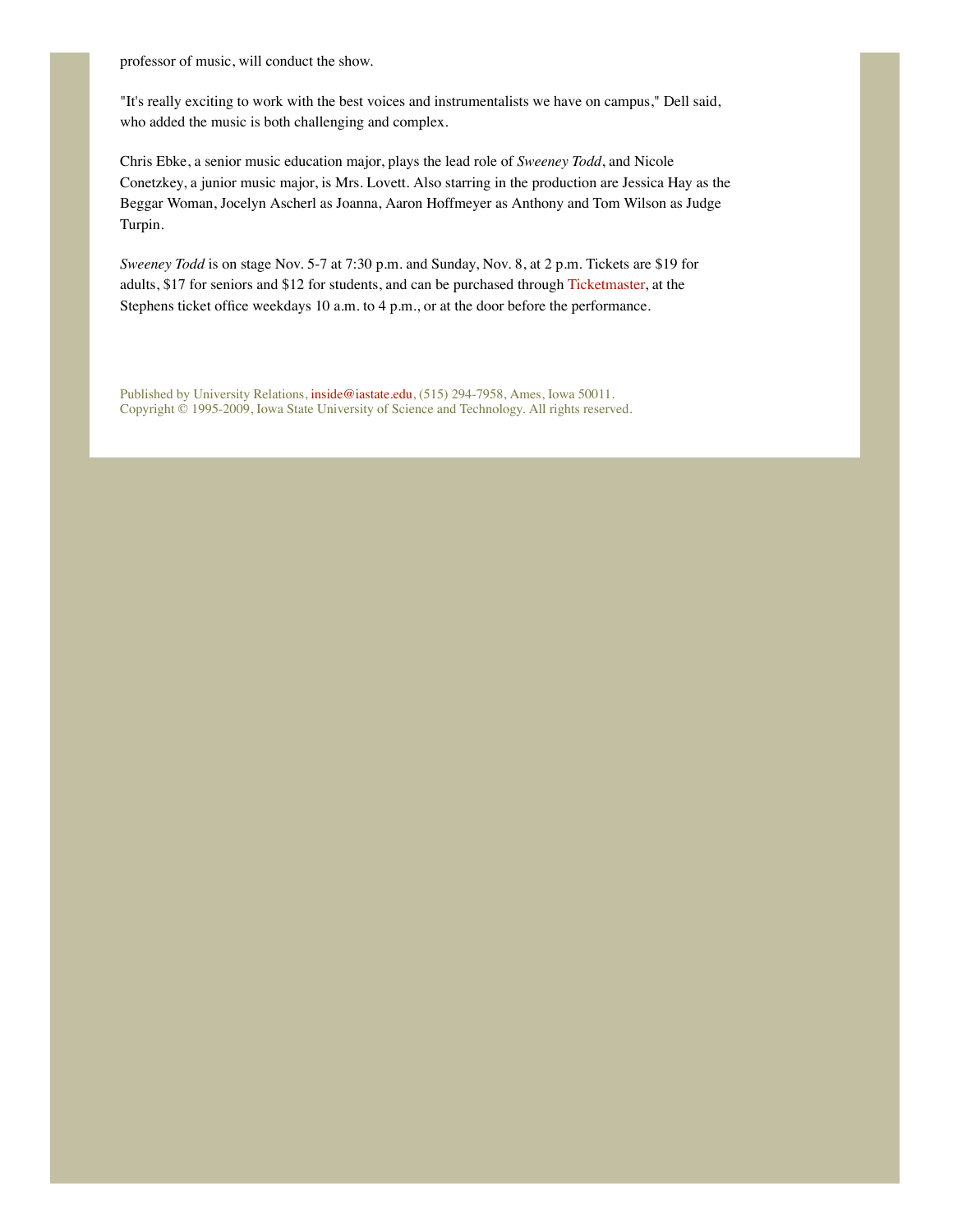professor of music, will conduct the show.

"It's really exciting to work with the best voices and instrumentalists we have on campus," Dell said, who added the music is both challenging and complex.

Chris Ebke, a senior music education major, plays the lead role of *Sweeney Todd*, and Nicole Conetzkey, a junior music major, is Mrs. Lovett. Also starring in the production are Jessica Hay as the Beggar Woman, Jocelyn Ascherl as Joanna, Aaron Hoffmeyer as Anthony and Tom Wilson as Judge Turpin.

*Sweeney Todd* is on stage Nov. 5-7 at 7:30 p.m. and Sunday, Nov. 8, at 2 p.m. Tickets are \$19 for adults, \$17 for seniors and \$12 for students, and can be purchased through Ticketmaster, at the Stephens ticket office weekdays 10 a.m. to 4 p.m., or at the door before the performance.